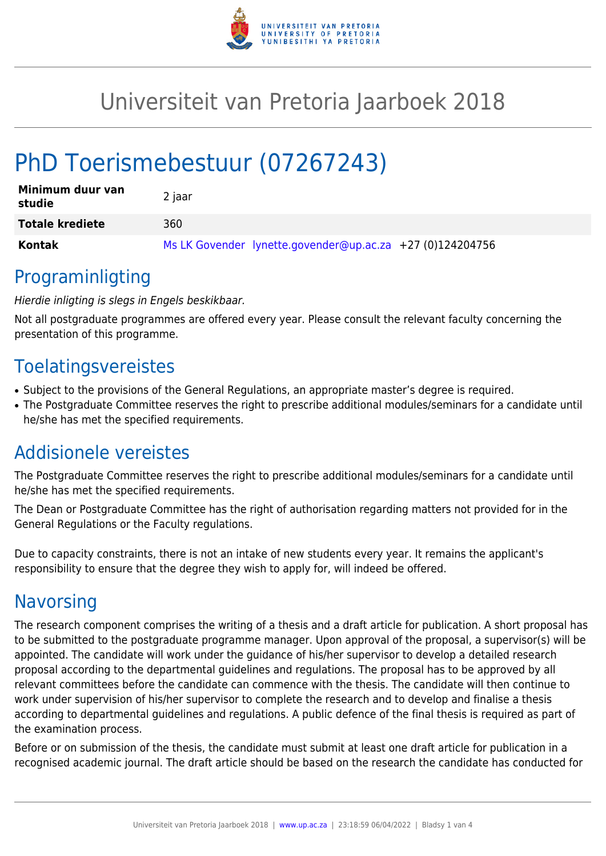

## Universiteit van Pretoria Jaarboek 2018

# PhD Toerismebestuur (07267243)

| Minimum duur van<br>studie | 2 jaar                                                    |
|----------------------------|-----------------------------------------------------------|
| <b>Totale krediete</b>     | 360                                                       |
| Kontak                     | Ms LK Govender lynette.govender@up.ac.za +27 (0)124204756 |

#### Programinligting

#### Hierdie inligting is slegs in Engels beskikbaar.

Not all postgraduate programmes are offered every year. Please consult the relevant faculty concerning the presentation of this programme.

#### Toelatingsvereistes

- Subject to the provisions of the General Regulations, an appropriate master's degree is required.
- The Postgraduate Committee reserves the right to prescribe additional modules/seminars for a candidate until he/she has met the specified requirements.

### Addisionele vereistes

The Postgraduate Committee reserves the right to prescribe additional modules/seminars for a candidate until he/she has met the specified requirements.

The Dean or Postgraduate Committee has the right of authorisation regarding matters not provided for in the General Regulations or the Faculty regulations.

Due to capacity constraints, there is not an intake of new students every year. It remains the applicant's responsibility to ensure that the degree they wish to apply for, will indeed be offered.

### **Navorsing**

The research component comprises the writing of a thesis and a draft article for publication. A short proposal has to be submitted to the postgraduate programme manager. Upon approval of the proposal, a supervisor(s) will be appointed. The candidate will work under the guidance of his/her supervisor to develop a detailed research proposal according to the departmental guidelines and regulations. The proposal has to be approved by all relevant committees before the candidate can commence with the thesis. The candidate will then continue to work under supervision of his/her supervisor to complete the research and to develop and finalise a thesis according to departmental guidelines and regulations. A public defence of the final thesis is required as part of the examination process.

Before or on submission of the thesis, the candidate must submit at least one draft article for publication in a recognised academic journal. The draft article should be based on the research the candidate has conducted for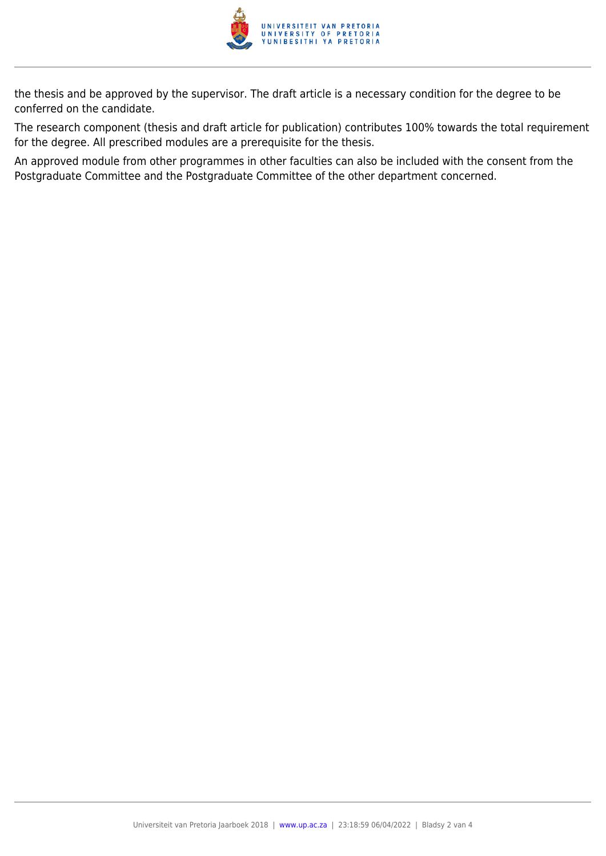

the thesis and be approved by the supervisor. The draft article is a necessary condition for the degree to be conferred on the candidate.

The research component (thesis and draft article for publication) contributes 100% towards the total requirement for the degree. All prescribed modules are a prerequisite for the thesis.

An approved module from other programmes in other faculties can also be included with the consent from the Postgraduate Committee and the Postgraduate Committee of the other department concerned.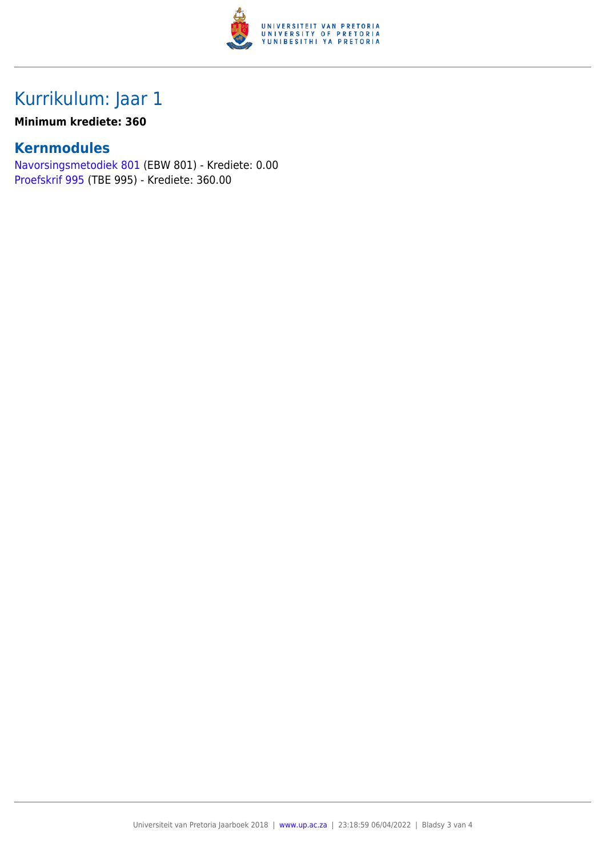

### Kurrikulum: Jaar 1

#### **Minimum krediete: 360**

#### **Kernmodules**

[Navorsingsmetodiek 801](https://www.up.ac.za/faculty-of-education/yearbooks/2018/modules/view/EBW 801/lg/af) (EBW 801) - Krediete: 0.00 [Proefskrif 995](https://www.up.ac.za/faculty-of-education/yearbooks/2018/modules/view/TBE 995/lg/af) (TBE 995) - Krediete: 360.00